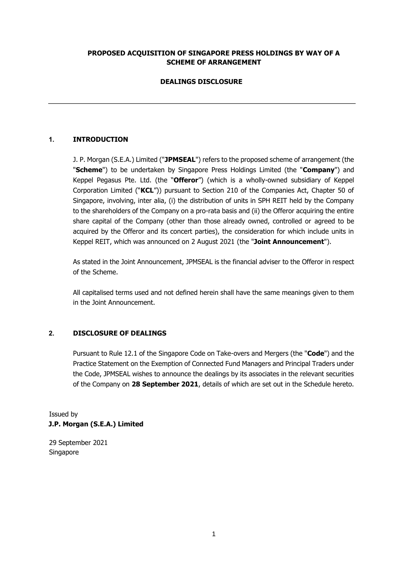### **PROPOSED ACQUISITION OF SINGAPORE PRESS HOLDINGS BY WAY OF A SCHEME OF ARRANGEMENT**

# **DEALINGS DISCLOSURE**

# **1. INTRODUCTION**

J. P. Morgan (S.E.A.) Limited ("**JPMSEAL**") refers to the proposed scheme of arrangement (the "**Scheme**") to be undertaken by Singapore Press Holdings Limited (the "**Company**") and Keppel Pegasus Pte. Ltd. (the "**Offeror**") (which is a wholly-owned subsidiary of Keppel Corporation Limited ("**KCL**")) pursuant to Section 210 of the Companies Act, Chapter 50 of Singapore, involving, inter alia, (i) the distribution of units in SPH REIT held by the Company to the shareholders of the Company on a pro-rata basis and (ii) the Offeror acquiring the entire share capital of the Company (other than those already owned, controlled or agreed to be acquired by the Offeror and its concert parties), the consideration for which include units in Keppel REIT, which was announced on 2 August 2021 (the "**Joint Announcement**").

As stated in the Joint Announcement, JPMSEAL is the financial adviser to the Offeror in respect of the Scheme.

All capitalised terms used and not defined herein shall have the same meanings given to them in the Joint Announcement.

#### **2. DISCLOSURE OF DEALINGS**

Pursuant to Rule 12.1 of the Singapore Code on Take-overs and Mergers (the "**Code**") and the Practice Statement on the Exemption of Connected Fund Managers and Principal Traders under the Code, JPMSEAL wishes to announce the dealings by its associates in the relevant securities of the Company on **28 September 2021**, details of which are set out in the Schedule hereto.

Issued by **J.P. Morgan (S.E.A.) Limited** 

29 September 2021 Singapore